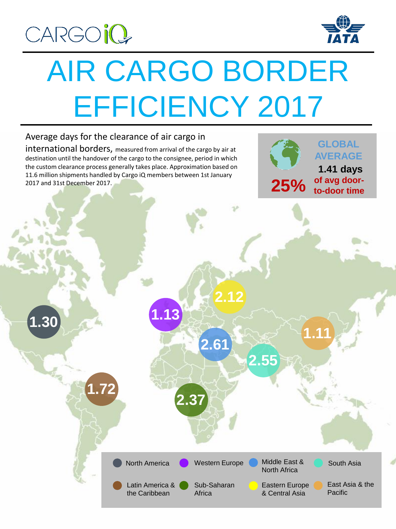

**1.30**

号



# AIR CARGO BORDER EFFICIENCY 2017

**2.37**

**1.13**

North America

Latin America & the Caribbean

**2.61**

Sub-Saharan

**Africa** 

**2.12**

**2.55**

Western Europe Middle East &

North Africa

Eastern Europe & Central Asia

### Average days for the clearance of air cargo in

**1.72**

international borders, measured from arrival of the cargo by air at destination until the handover of the cargo to the consignee, period in which the custom clearance process generally takes place. Approximation based on 11.6 million shipments handled by Cargo iQ members between 1st January 2017 and 31st December 2017.

**GLOBAL AVERAGE 1.41 days 25% of avg door-**

**to-door time**

**1.11**

East Asia & the

South Asia

Pacific